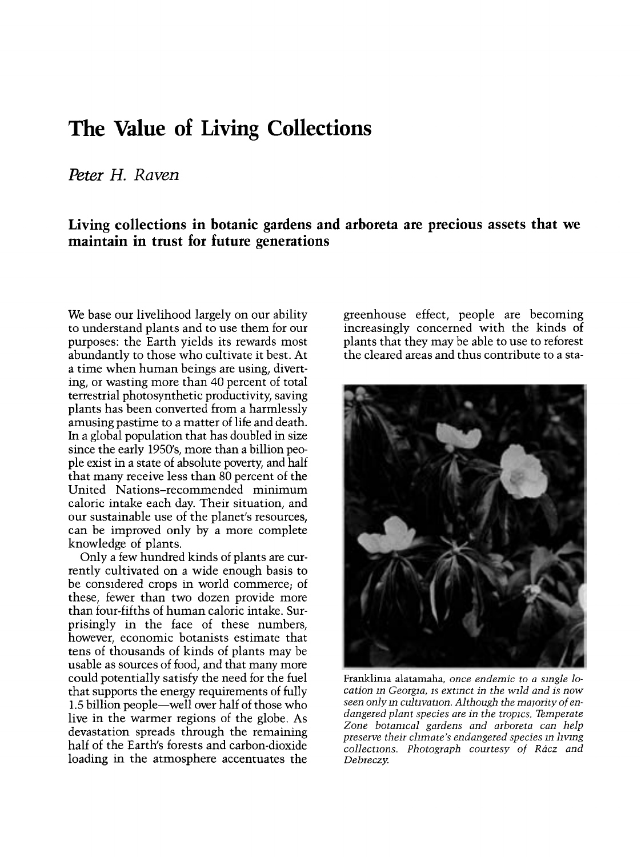## The Value of Living Collections

## Peter H. Raven

## Living collections in botanic gardens and arboreta are precious assets that we maintain in trust for future generations

We base our livelihood largely on our ability to understand plants and to use them for our purposes: the Earth yields its rewards most abundantly to those who cultivate it best. At a time when human beings are using, diverting, or wasting more than 40 percent of total terrestrial photosynthetic productivity, saving plants has been converted from a harmlessly amusing pastime to a matter of life and death. In a global population that has doubled in size since the early 1950's, more than a billion people exist in a state of absolute poverty, and half that many receive less than 80 percent of the United Nations-recommended minimum caloric intake each day. Their situation, and our sustainable use of the planet's resources, can be improved only by a more complete knowledge of plants.

Only a few hundred kinds of plants are currently cultivated on a wide enough basis to be considered crops in world commerce; of these, fewer than two dozen provide more than four-fifths of human caloric intake. Surprisingly in the face of these numbers, however, economic botanists estimate that tens of thousands of kinds of plants may be usable as sources of food, and that many more could potentially satisfy the need for the fuel that supports the energy requirements of fully 1.5 billion people-well over half of those who live in the warmer regions of the globe. As devastation spreads through the remaining half of the Earth's forests and carbon-dioxide loading in the atmosphere accentuates the

greenhouse effect, people are becoming increasingly concerned with the kinds of plants that they may be able to use to reforest the cleared areas and thus contribute to a sta-



Franklima alatamaha, once endemic to a single location in Georgia, is extinct in the wild and is now seen only in cultivation. Although the majority of endangered plant species are in the tropics, Temperate Zone botanical gardens and arboreta can help preserve their climate's endangered species in living collections. Photograph courtesy of Rácz and Debreczy.